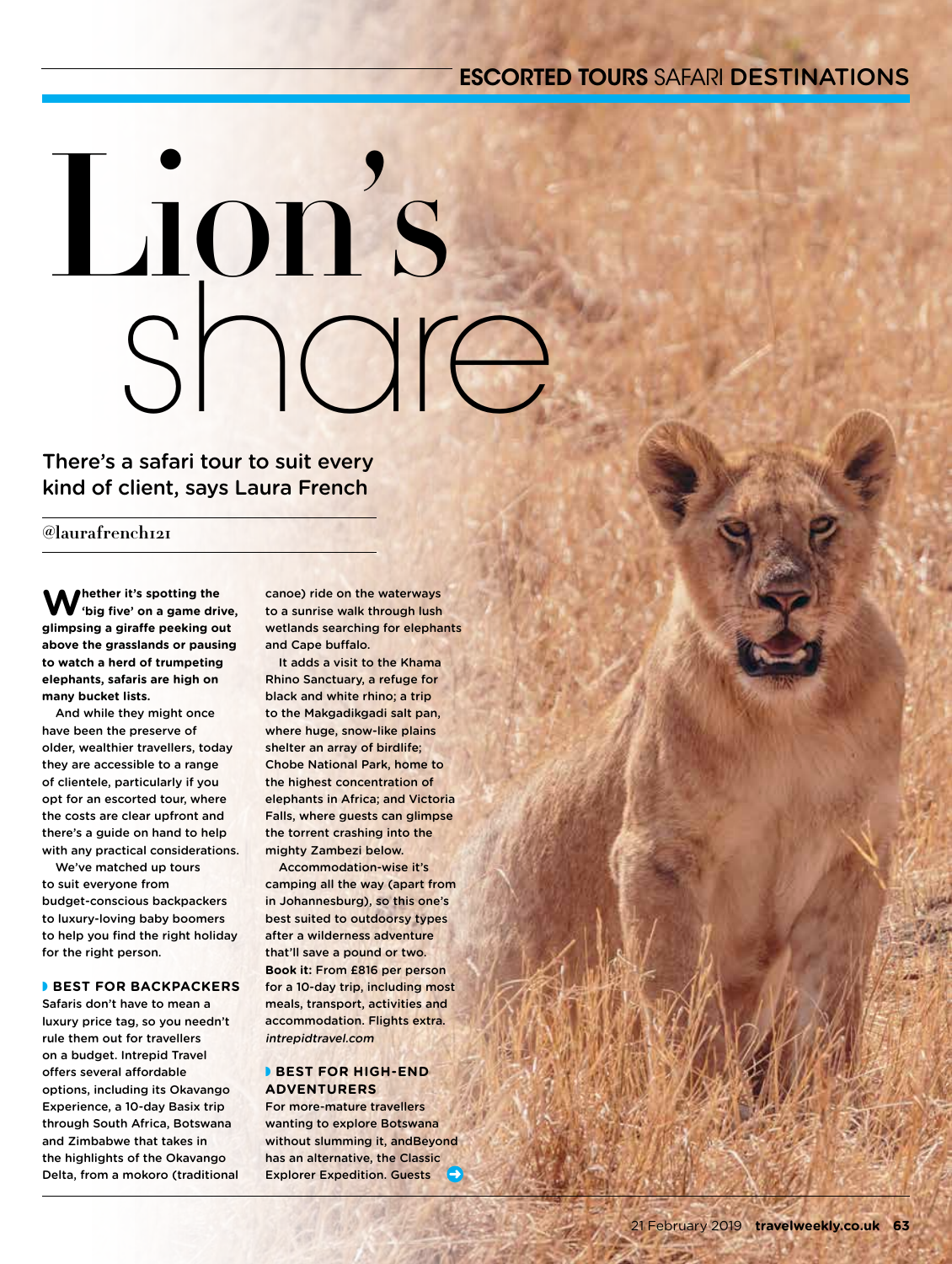# ESCORTED TOURS SAFARI DESTINATIONS

# share Lion's

There's a safari tour to suit every kind of client, says Laura French

**@laurafrench121**

**Whether it's spotting the 'big five' on a game drive, glimpsing a giraffe peeking out above the grasslands or pausing to watch a herd of trumpeting elephants, safaris are high on many bucket lists.**

And while they might once have been the preserve of older, wealthier travellers, today they are accessible to a range of clientele, particularly if you opt for an escorted tour, where the costs are clear upfront and there's a guide on hand to help with any practical considerations.

We've matched up tours to suit everyone from budget‑conscious backpackers to luxury-loving baby boomers to help you find the right holiday for the right person.

# **BEST FOR BACKPACKERS**

Safaris don't have to mean a luxury price tag, so you needn't rule them out for travellers on a budget. Intrepid Travel offers several affordable options, including its Okavango Experience, a 10-day Basix trip through South Africa, Botswana and Zimbabwe that takes in the highlights of the Okavango Delta, from a mokoro (traditional canoe) ride on the waterways to a sunrise walk through lush wetlands searching for elephants and Cape buffalo.

It adds a visit to the Khama Rhino Sanctuary, a refuge for black and white rhino; a trip to the Makgadikgadi salt pan, where huge, snow-like plains shelter an array of birdlife; Chobe National Park, home to the highest concentration of elephants in Africa; and Victoria Falls, where guests can glimpse the torrent crashing into the mighty Zambezi below.

Accommodation-wise it's camping all the way (apart from in Johannesburg), so this one's best suited to outdoorsy types after a wilderness adventure that'll save a pound or two. **Book it:** From £816 per person for a 10-day trip, including most meals, transport, activities and accommodation. Flights extra. intrepidtravel.com

# **BEST FOR HIGH-END ADVENTURERS**

For more-mature travellers wanting to explore Botswana without slumming it, andBeyond has an alternative, the Classic Explorer Expedition. Guests